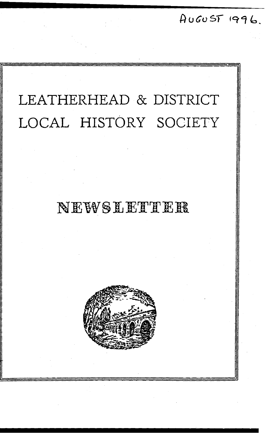$AUGUST1996$ 

# LEATHERHEAD & DISTRICT LOCAL HISTORY SOCIETY

## **NEWSSiETTEIt**

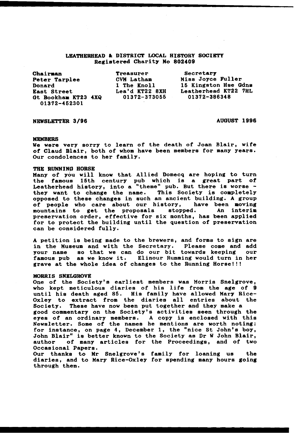#### LEATHERHEAD *k* DISTRICT LOCAL HISTORY SOCIETY Registered Charity No 802409

#### **Chairaan**

Peter Tarplee Donard East Street Gt Bookhaa KT23 4XQ 01372-452301

CVM Latham 1 The Knoll Lea'd KT22 8XH 01372-373055 01372-386348

Treasurer

Secretary Miss Joyce Fuller 15 Kingston Hse Gdna Leatherhead KT22 7HL

### NEWSLETTER 3/96 AUGUST 1996

#### MEMBERS

We were very sorry to learn of the death of Joan Blair, wife of Claud Blair, both of whom have been members for many years. Our condolences to her family.

#### THE RUNNING HORSE

Many of you will know that Allied Domecq are hoping to turn the famous 15th century pub which is a great part of Leatherhead history, into a "theme" pub. But there is worse they want to change the name. This Society is completely opposed to these changes in such an ancient building. A group of people who care about our history, have been moving mountains to get the proposals stopped. An interim preservation order, effective for six months, has been applied for to protect the building until the question of preservation can be considered fully.

A petition is being made to the brewers, and forms to sign are in the Museum and with the Secretary. Please come and add your name so that we can do our bit towards keeping our famous pub as we know it. Elinour Rumming would turn in her grave at the whole idea of changes to the Running Horse!!!

#### MORRIS SNELGROVE

One of the Society's earliest members was Morris Snelgrove, who kept meticulous diaries of his life from the age of 9 until his death aged 85. His family have allowed Mary Rice-Oxley to extract from the diaries all entries about the Society. These have now been put together and they make a good commentary on the Society's activities seen through the eyes of an ordinary members. A copy is enclosed with this Newsletter. Some of the names he mentions are worth noting: for instance, on page 4, December 1, the "nice St John's boy, John Blair" is better known to the Society as Dr W John Blair, author of many articles for the Proceedings, and of two Occasional Papers.

Our thanks to Mr Snelgrove's family for loaning us the diaries, and to Mary Rice-Oxley for spending many hours going through them.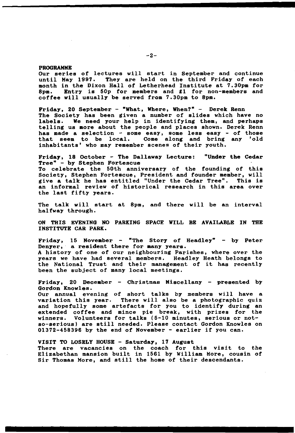#### PROGRAMME

Our series of lectures will start in September and continue until May 1997. They are held on the third Friday of each month in the Dixon Hall of Letherhead Institute at 7.30pm for 8pm. Entry is 50p for members and £1 for non-members and coffee will usually be served from 7.30pm to 8pm.

Friday, 20 September - "What, Where, When?" - Derek Renn The Society has been given a number of slides which have no labels. We need your help in identifying them, and perhaps telling us more about the people and places shown. Derek Renn has made a selection - some easy, some less easy - of those that seem to be local. Come along and bring any 'old inhabitants' who may remember scenes of their youth.

Friday, 18 October - The Dallaway Lecture: "Under the Cedar Tree" - by Stephen Fortescue

To celebrate the 50th anniversary of the founding of this Society, Stephen Fortescue, President and founder member, will give a talk he has entitled "Under the Cedar Tree". This is an informal review of historical research in this area over the last fifty years.

The talk will start at 8pm, and there will be an interval halfway through.

ON THIS EVENING NO PARKING SPACE WILL BE AVAILABLE IN THE INSTITUTE CAR PARK.

Friday, 15 November - "The Story of Headley" - by Peter Deayer, a resident there for many years.

A history of one of our neighbouring Parishes, where over the years we have had several members. Headley Heath belongs to the National Trust and their management of it has recently been the subject of many local meetings.

Friday, 20 December - Christmas Miscellany - presented by Gordon Knowles.

Our annual evening of short talks by members will have a variation this year. There will also be a photographic quiz and hopefully some artefacts for you to identify during an extended coffee and mince pie break, with prizes for the winners. Volunteers for talks (5-10 minutes, serious or notso-serious) are still needed. Please contact Gordon Knowles on 01372-458396 by the end of November - earlier if you can.

VISIT TO LOSELY HOUSE - Saturday, 17 August There are vacancies on the coach for this visit to the Elizabethan mansion built in 1561 by William More, cousin of Sir Thomas More, and still the home of their descendants.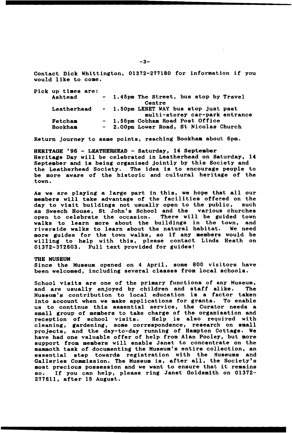Contact Dick Whittington, 01372-277180 for information if you would like to come.

|  | <b>Pick up times are:</b> |                                         |  |
|--|---------------------------|-----------------------------------------|--|
|  | Ashtead                   | - 1.45pm The Street, bus stop by Travel |  |
|  |                           | Centre                                  |  |
|  | Leatherhead               | - 1.50pm LERET WAY bus stop just past   |  |
|  |                           | multi-storey car-park entrance          |  |
|  | Fetcham                   | - 1.55pm Cobham Road Post Office        |  |
|  | <b>Bookham</b>            | - 2.00pm Lower Road, St Nicolas Church  |  |
|  |                           |                                         |  |

Return journey to same points, reaching Bookham about 6pm.

HERITAGE \*96 - LEATHERHEAD - Saturday, 14 September Heritage Day will be celebrated in Leatherhead on Saturday, 14 September and is being organised jointly by this Society and the Leatherhead Society. The idea is to encourage people to be more aware of the historic and cultural heritage of the town.

As we are playing a large part in this, we hope that all our members will take advantage of the facilities offered on the day to visit buildings not usually open to the public, such as Sweech House, St John's School and the various churches open to celebrate the occasion. There will be guided town walks to learn more about the buildings in the town, and riverside walks to learn about the natural habitat. We need more guides for the town walks, so if any members would be willing to help with this, please contact Linda Heath on 01372-372603. Full text provided for guides!

#### THE MUSEUM

Since the Museum opened on 4 April, some 800 visitors have been welcomed, including several classes from local schools.

School visits are one of the primary functions of any Museum, and are usually enjoyed by children and staff alike. The Museum's contribution to local education is a factor taken into account when we make applications for grants. To enable us to continue this essential service, the Curator needs a small group of members to take charge of the organisation and<br>reception of school visits. Help is also required with Help is also required with. cleaning, gardening, some correspondence, research on small projects, and the day-to-day running of Hampton Cottage. We have had one valuable offer of help from Alan Pooley, but more support from members will enable Janet to concentrate on the mammoth task of documenting the Museum's entire collection, an essential step towards registration with the Museums and Galleries Commission. The Museum is, after all, the Society's most precious possession and we want to ensure that it remains so. If you can help, please ring Janet Goldsmith on 01372- 277611, after 15 August.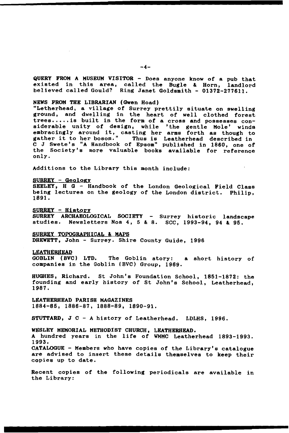QUERY FROM A MUSEUM VISITOR - Does anyone know of a pub that existed in this area, called the Bugle & Horn, landlord believed called Gould? Ring Janet Goldsmith - 01372-277611.

#### NEWS FROM THE LIBRARIAN (Gwen Hoad)

"Letherhead, a village of Surrey prettily situate on swelling ground, and dwelling in the heart of well clothed forest trees....is built in the form of a cross and possesses considerable unity of design, while 'the gentle Mole' winds embracingly around it, casting her arms forth as though to gather it to her bosom." Thus is Leatherhead described in C J Swete's "A Handbook of Epsom" published in 1860, one of the Society's more valuable books available for reference only.

Additions to the Library this month include:

#### $SURREY - Geology$

SEELEY, H G - Handbook of the London Geological Field Class being lectures on the geology of the London district. Philip, 1891.

#### SURREY - History

SURREY ARCHAEOLOGICAL SOCIETY — Surrey historic landscape studies. Newsletters Nos 4, 5 & 8. SCC, 1993-94, 94 & 95.

### SURREY TOPOGRAPHICAL *k* MAPS

DREWETT, John - Surrey. Shire County Guide, 1996

LEATHERHEAD<br>GOBLIN (BVC) LTD. The Goblin story: a short history of companies in the Goblin (BVC) Group, 1969.

HUGHES, Richard. St John's Foundation School, 1851-1872: the founding and early history of St John's School, Leatherhead, 1987.

LEATHERHEAD PARISH MAGAZINES 1884-85, 1886-87, 1888-89, 1890-91.

STUTTARD, J C - A history of Leatherhead. LDLHS, 1996.

#### WESLEY MEMORIAL METHODIST CHURCH, LEATHERHEAD.

A hundred years in the life of WMMC Leatherhead 1893-1993. 1993. CATALOGUE - Members who have copies of the Library's catalogue are advised to insert these details themselves to keep their copies up to date.

Recent copies of the following periodicals are available in the Library: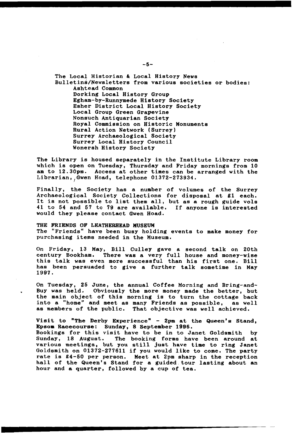The Local Historian & Local History News Bulletins/Newsletters from various societies or bodies: Ashtead Common Dorking Local History Group Egham-by-Runnymede History Society Esher District Local History Society Local Group Green Grapevine Nonsuch Antiquarian Society Royal Commission on Historic Monuments Rural Action Network (Surrey) Surrey Archaeological Society Surrey Local History Council Wonersh History Society

The Library is housed separately in the Institute Library room which is open on Tuesday, Thursday and Friday mornings from 10 am to 12.30pm. Access at other times can be arranged with the Librarian, Gwen Hoad, telephone 01372-273934.

Finally, the Society has a number of volumes of the Surrey Archaeological Society Collections for disposal at £1 each. It is not possible to list them all, but as a rough guide vols 41 to 54 and 57 to 79 are available. If anyone is interested would they please contact Gwen Hoad.

#### THE FRIENDS OF LEATHERHEAD MUSEUM The "Friends" have been busy holding events to make money for purchasing items needed in the Museum.

On Friday, 13 May, Bill Culley gave a second talk on 20th century Bookham. There was a very full house and money-wise this talk was even more successful than his first one. Bill has been persuaded to give a further talk sometime in May 1997 .

On Tuesday, 25 June, the annual Coffee Morning and Bring-and-Buy was held. Obviously the more money made the better, but the main object of this morning is to turn the cottage back into a "home" and meet as many Friends as possible, as well as members of the public. That objective was well achieved.

Visit to "The Derby Experience" - 2pm at the Queen's Stand, Epsom Racecourse: Sunday, 8 September 1996.

Bookings for this visit have to be in to Janet Goldsmith by Sunday, 18 August. The booking forms have been around at various meetings, but you still just have time to ring Janet Goldsmith on 01372-277611 if you would like to come. The party rate is £4-50 per person. Meet at 2pm sharp in the reception hall of the Queen's Stand for a guided tour lasting about an hour and a quarter, followed by a cup of tea.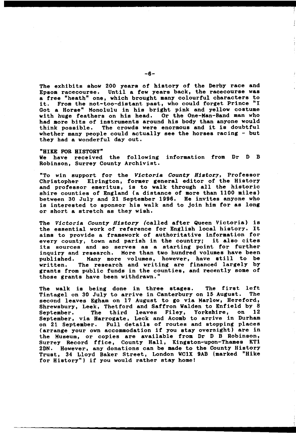The exhibits show 200 years of history of the Derby race and Epson racecourse. Until a few years back, the racecourse was a free "heath" one, which brought many colourful characters to<br>it. From the not-too-distant past, who could forget Prince "I it. From the not-too-distant past, who could forget Prince Got a Horse" Monolulu in his bright pink and yellow costume with huge feathers on his head. Or the One-Man-Band man who had more bits of instruments around his body than anyone would think possible. The crowds were enormous and it is doubtful whether many people could actually see the horses racing - but they had a wonderful day out.

#### "HIKE FOR HISTORY"

We have received the following information from Dr D B Robinson, Surrey County Archivist.

"To win support for the *Victoria County History*, Professor Christopher Elrington, former general editor of the History and professor emeritus, is to walk through all the historic shire counties of England (a distance of more than 1100 miles) between 30 July and 21 September 1996. He invites anyone who is interested to sponsor his walk and to join him for as long or short a stretch as they wish.

The *Victoria County History* fcalled after Queen Victoria) is the essential work of reference for English local history. It aims to provide a framework of authoritative information for every county, town and parish in the country; its sources and so serves as a starting point for further inquiry and research. More than two hundred volumes have been published. Many more volumes, however, have still to be written. The research and writing are financed largely by grants from public funds in the counties, and recently some of those grants have been withdrawn."

The walk is being done in three stages. The first left<br>Tintagel on 30 July to arrive in Canterbury on 15 August. The Tintagel on 30 July to arrive in Canterbury on 15 August. second leaves Egham on 17 August to go via Marlow, Hereford, Shrewsbury, Leek, Thetford and Saffron Walden to Enfield by 8<br>September. The third leaves Filey, Yorkshire, on 12 September. The third leaves Filey, Yorkshire, September, via Harrogate, Leek and Acomb to arrive in Durham on 21 September. Full details of routes and stopping places (arrange your own accommodation if you stay overnight) are in the Museum, or copies are available from Dr D B Robinson, Surrey Record ffice, County Hall, Kingston-upon-Thames KT1 2DN. However, any donations can be made to the County History Trust, 34 Lloyd Baker Street, London WC1X 9AB (marked "Hike for History") if you would rather stay home!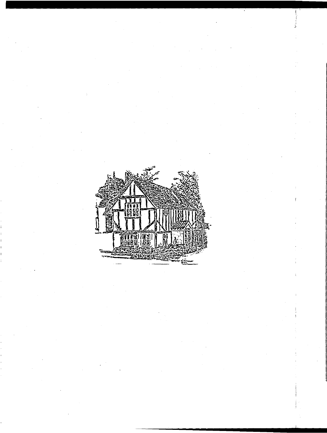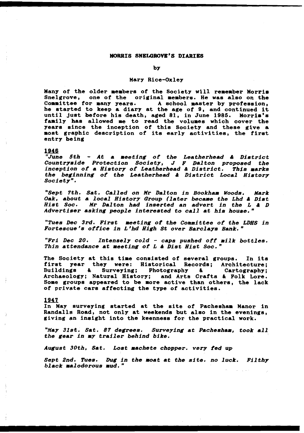#### **MORRIS SNELGROVE'S DIARIES**

#### by

#### Mary Rice-Oxley

Many of the older members of the Society will remember Morris Snelgrove, one of the original members. He was also on the Committee for many years. A school master by profession, he started to keep a diary at the age of 9, and continued it until just before his death, aged 81, in June 1985. Morris's family has allowed me to read the volumes which cover the years since the inception of this Society and these give a most graphic description of its early activities, the first entry being

#### 1946

*"June 5th - At a meeting of the Leatherhead* 6 *Diatrict Countryside Protection Society, J F Dalton proposed the inception of a History of Leatherhead & District. This marks the beginning of the Leatherhead* i *District Local History Society".*

*"Sept 7th. Sat. Called on Mr Dalton in Bookham Woods. Mark Oak, about a local History Group (later became the Lhd* A *Diat Hist Soc. Mr Dalton had inserted an advert in the L & D Advertiser asking people interested to call at his house. "*

*"Tues Dec 3rd. First meeting of the Committee of the LDHS in Fortescue's office in L 'hd High St over Barclays Bank."*

*"Fri Dec 20. Intensely cold - caps pushed off milk bottles. Thin attendance at meeting of L* A *Dist Hist Soc. "*

The Society at this time consisted of several groups. In its first year they were: Historical Records; Architecture;<br>Buildings & Surveying; Photography & Cartography; Buildings & Surveying; Photography & Archaeology; Natural History; and Arts Crafts & Folk Lore. Some groups appeared to be more active than others, the lack of private cars affecting the type of activities.

#### **1947**

In May surveying started at the site of Pachesham Manor in Randalls Road, not only at weekends but also in the evenings, giving an insight into the keenness for the practical work.

*"May 31st. Sat. 87 degrees. Surveying at Pachesham, took all the gear in my trailer behind bike.*

*August 30th, Sat. Lost machete chopper, very fed up*

*Sept 2nd. Tues. Dug in the moat at the site, no luck. Filthy black malodorous mud."*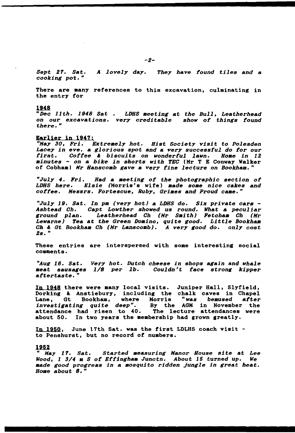*Sept 27. Sat. A lovely day. They have found tiles and a cooking pot.* "

There are many references to this excavation, culminating in the entry for

#### 1948

*"Dec 11th. 1948 Sat , LDHS meeting at the Bull, Leatherhead* on our excavations. very creditable *there."*

#### Earlier in 1947:

*"May 30, Fri. Extremely hot. Hist Society visit to Polesden Lacey in eve. a glorious spot and a very successful do for our first. Coffee & biscuits on wonderful lawn. Home in 12 minutes - on a bike in shorts with TEC* (Mr T E Conway Walker of Cobhaml *Mr Hanscomb gave a very fine lecture on Bookham.* "

*"July 4. Fri. Had a meeting of the photographic section of LDHS here. Elsie* ^Morris's wife) *made some nice cakes and coffee. Messrs. Fortescue, Ruby, Grimes and Proud came*."

*"July 19. Sat. In pm (very hot) a LDHS do. Six private cars* - *Ashtead Ch. Capt Lowther showed us round, What a peculiar ground plan. Leatherhead Ch (Mr Smith) Fetcham Ch (Mr Lewarne) Tea at the Green Domino, quite good. Little Bookham Ch t Gt Bookham Ch (Mr Lanscomb). A very good do. only cost 2s.* "

These entries are interspersed with some interesting social comments.

*"Aug 16. Sat. Very hot. Dutch cheese in shops again and whale meat sausages 1/8 per lb. Couldn't face strong kipper aftertaste."*

In 1948 there were many local visits. Juniper Hall, Slyfield, Dorking & Anstiebury, including the chalk caves in Chapel Lane, Gt Bookham, where Morris *"was bemused after investigating quite deep".* By the AGM in November the attendance had risen to 40. The lecture attendances were about 50. In two years the membership had grown greatly.

In 1950. June 17th Sat. was the first LDLHS coach visit to Penshurst, but no record of numbers.

#### 1952

" *May 17. Sat. Started measuring Manor House site at Lee Wood, 1 3/4* m *S of Effingham Junctn. About 15* turned up. *We made good progress in a mosquito ridden jungle in great heat.* Home *about 8*."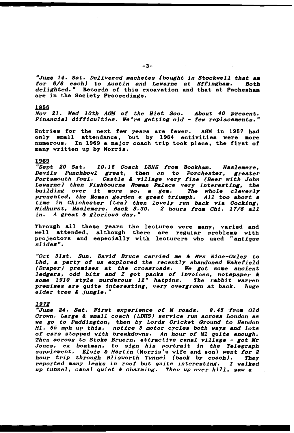*"June 14. Sat. Delivered machetes (bought in Stockwell that am* for 6/6 each) to Austin and Lewarne at Effingham. delighted." Records of this excavation and that at Pachesham are in the Society Proceedings.

#### **1956**

*Nov 21. Wed 10th AGM of the Hist Soc. About 40 present. Financial difficulties. We're getting old - few replacements."*

Entries for the next few years are fewer. A6M in 1957 had only small attendance, but by 1964 activities were more numerous. In 1969 a major coach trip took place, the first of many written up by Morris.

<u>1969</u><br>"Sept 20 Sat. 10.15 Coach LDHS from Bookham. Haslemere, *Devils Punchbowl great, then on to Porchester, greater Portsmouth foul. Castle* A *village very fine (Beer with John Lewarne) then Fishbourne Soman Palace very interesting, the building over it more so, a gem. The whole cleverly presented, the Soman garden a great triumph. All too short a time in Chichester (tea) then lovely run back via Cocking, Midhurst, Haslemere. Back 8.30. 2 hours from Chi. 17/6 all in. A great* A *glorious day."*

Through all these years the lectures were many, varied and well attended, although there are regular problems with projectors and especially with lecturers who used "*antique slides".*

*"Oct 31st. Sun. David Bruce carried me* A *Mrs Rice-Oxley to Lhd, a party of us explored the recently abandoned Wakefield (Draper) premises at the crossroads. We got some ancient ledgers, odd bits and I got packs of invoices, notepaper* A *some 1910 style* murderous *12" hatpins. The rabbit warren premises are quite interesting, very overgrown at back. huge elder tree* A *jungle."*

#### *1972*

*"June 24. Sat. First experience of M roads. 8.45 from Old Crown. Large* A *small coach (LDHS) service run across London as we go to Paddington, then by Lords Cricket Ground to Hendon Ml, 65 mph up this. notice 3 motor cycles both ways and lots of cars stopped with breakdowns. An hour of Ml quite enough. Then across to Stoke Bruern, attractive canal village - got Mr Jones, ex boatman, to sign his portrait in the Telegraph supplement. Elsie* A *Martin* (Morris's wife and son) *went for 2 hour trip through Blisworth Tunnel (back by coach). They reported many leaks in roof but quite interesting. up tunnel, canal quiet* A *charming. Then up over hill, saw a*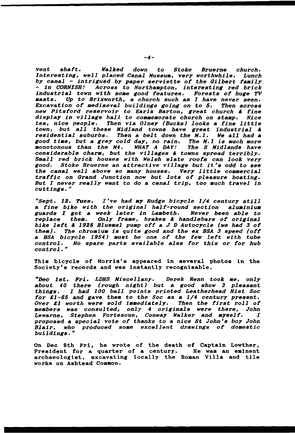*vent shaft. Walked down to Stoke Bruerne church. Interesting, well placed Canal Museum, very worthwhile. Lunch by canal - intrigued by paper serviette of the Gilbert family - in CORNISH! Across to Northampton, interesting red brick industrial town with some good features. Forests of huge TV masts. Up to Brixworth, a church* such as I *have never seen. Excavation of mediaeval buildings going on to 5. Then across new Pitsford reservoir to Earls Barton, great church* £ *fine display in village hall to commemorate church on stamp. Nice tea, nice people. Then via Olney (Bucks) looks a tine little town, but all these Midland towns have great industrial & residential suburbs. Then a belt down the M.l. We all had a good time, but a grey cold day, no rain. The M.l is much more good time, but a grey cold day, no rain. The M.1 is much more*<br>monotonous than the M4. WHAT A DAY! The S Midlands have *considerable charm, but the villages & towns spread terribly. Small red brick houses with Welsh slate roofs can look very good. Stoke Bruerne an attractive village but it's odd to see the canal well above so many houses. Very little commercial traffic on Grand Junction now but lots of pleasure boating. But I never really want to do a canal trip, too much travel in cuttings."*

*"Sept. 12. Tues. I 've had my Rudge bicycle 1/4 century still a fine bike with the original half-round section aluminium guards I got a week later in Lambeth. Never been able to replace them. Only frame, brakes* £ *handlebars of original bike left & 1925 Bluemel pump off a J D Autocycle (we had 3 of them). The chromium is quite good and the ex BSA 3 speed (off a BSA bicycle 1954) must be one of the few left with tube control. No spare parts available alas for this or for hub control."*

This bicycle of Morris's appeared in several photos in the Society's records and was instantly recognisable.

*"Dec 1st. Fri. LDHS Miscellany. Derek Renn took me, only about 40 there (rough night) but a good show 3 pleasant things. I had 100 ball points printed Leatherhead Hist Soc for £1-65 and gave them to the Soc as a 1/4 century present. Over £1 worth were sold immediately. Then the first roll of members was consulted, only 4 originals were there, John Lewarne, Stephen Fortescue, Conway Walker and myself. I proposed a special vote of thanks to a nice St John's boy John Blair, who produced some excellent drawings of domestic buildings."*

On Dec 8th Fri, he wrote of the death of Captain Lowther, President for a quarter of a century. He was an eminent archaeologist, excavating locally the Roman Villa and tile works on Ashtead Common.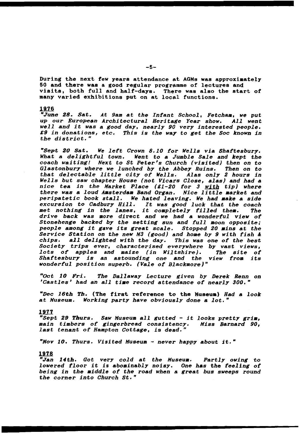During the next few years attendance at AGMa was approximately 50 and there was a good regular programme of lectures and visits, both full and half-days. There was also the start of many varied exhibitions put on at local functions.

## 1926

*"June 28. Sat. At 9am at the Infant School, Fetcham, we put up our European Architectural Heritage Year show. All went well and it was a good day, nearly 90 very interested people. £9 in donations, etc. This is the way to get the Soc known in the district. "*

*"Sept 20 Sat. We left Crown 8.10 for Wells via Shaftesbury. What a delightful town. Went to a Jumble Sale and kept the coach waiting! Next to St Peter's Church (visited) then on to Glastonbury where we lunched by the Abbey Ruins. Then on to that delectable little city of Wells. Wells but saw chapter House (not Vicars Close, alas) and had a nice tea in the Market Place (£1-20 for 3 with tip) where there was a loud Amsterdam Band Organ, Nice little market and peripatetic book stall. We hated leaving. We had make a side excursion to Cadbury Hill. It was good luck that the coach met nothing in the lanes, it completely filled them. The drive back was more* direct *and we had a wonderful view of Stonehenge backed by the setting sun and full moon opposite; people among it gave its great scale. Stopped 20 mins at the Service Station on the new M3 (good) and home by 9 with fish A chips. all delighted with the day. This was one of the best Society trips ever, characterised everywhere by vast views,* lots of apples and maize (in Wiltshire). *Shaftesbury is an astounding one and the view from its wonderful position superb. (Vale of Blackmore)"*

*"Oct 10 Fri. The Dallaway Lecture given by Derek Renn on 'Castles' had an all time record attendance of nearly 300."*

*"Dec 16th Th.* (The first reference to the Museum) *Had a look at Museum. Working party have obviously done a lot."*

#### 1977

*"Sept 29 Thurs. Saw Museum all gutted* - *it looks pretty grim, main timbers of gingerbread consistency. Miss Barnard 90, last tenant of* Hampton *Cottage, is dead."*

*"Nov 10. Thurs. Visited Museum - never happy about it."*

#### 1978

*"Jan 14th. Got very cold at the Museum. Partly owing to lowered floor it is abominably noisy. One has* the *feeling of being in the middle of the road when a great bus sweeps round the corner into Church St. "*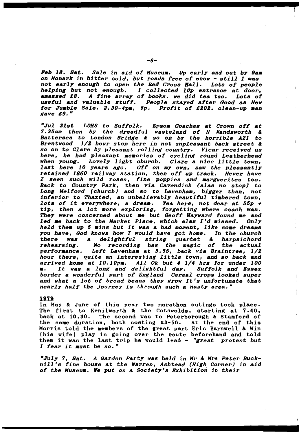*Feb 18. Sat. Sale in aid of Museum. Up early and out by 9am on Monark in bitter cold, but roads tree of snow - still I was not early enough to open the Red Cross Hall. Lots of people helping but not enough. I collected lOp entrance at door, amassed £8. A fine array of books, we did tea too. Lots of useful and valuable stuff. People stayed after Good as New tor Jumble Sale. 2.30-4pm, 5p. Profit of £202. clean-up man gave £9. "*

*"Jul 31st LDHS to Suffolk. Epsom Coaches at Crown oft at 7.35am then by the dreadful wasteland of N Wandsworth k Battersea to London Bridge t so on by the horrible A21 to* Brentwood 1/2 hour stop here in not unpleasant back street & *so on to Clare by pleasant rolling country. Vicar received us here, he had pleasant memories of cycling round Leatherhead when young. Lovely light church. Clare a nice little town, last here 10 years ago. Off on my own, saw the pleasantly retained 1860 railway station, then off up track. Never have I seen such wild roses, fine poppies and marguerites too. Back to Country Park, then via Cavendish (alas no stop) to Long Mel ford (church) and so to Lavenham, bigger than, not inferior to Thaxted, an unbelievably beautiful timbered town, lots of it everywhere, a dream. Tea here, not dear at 55p + tip, then a lot more exploring, forgetting where coach was. They were concerned about me but Geoff Hayward found me and led me back to the Market Place, which alas I 'd missed. Only held them up 5 mins but it was a bad moment, like some dreams you have, God knows how I would have got home. In the church there was a delightful string quartet A. harpsichord rehearsing. No recording has the magic of the actual performance. Left Lavenham at 5.55, back via Braintree, 1/2 hour there, quite an interesting little town, and so back and arrived home at 10.10pm. All Ok but 4 1/4 hrs for under 100* m. It was *a long and delightful day. Suffolk and Essex border a wonderful part of England Cereal crops looked super and what a lot of broad beans they grow It's unfortunate that nearly half the journey is through such a nasty area."*

#### 1979

In May & June of this year two marathon outings took place. The first to Kenilworth & the Cotswolds, starting at  $7.40$ , back at 10.30. The second was to Peterborough & Stamford of the same duration, both costing £3-50. At the end of this Morris told the members of the great part Eric Barnwell & Win (his wife) play in going over the route beforehand and told them it was the last trip he would lead - *"great protest but I fear it must be so. "*

*"July 7, Sat. A Garden Party was held in Mr A Mrs Peter Bucknill's fine house at the Warren, Ashtead (High Corner) in aid of the Museum. We put on a Society's Exhibition in their*